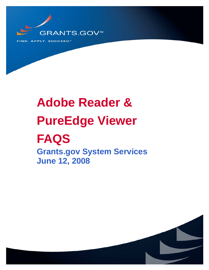

# **Adobe Reader & PureEdge Viewer FAQS Grants.gov System Services**

**June 12, 2008** 

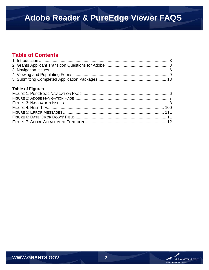### **Table of Contents**

### **Table of Figures**

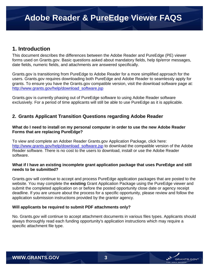### <span id="page-2-0"></span>**1. Introduction**

This document describes the differences between the Adobe Reader and PureEdge (PE) viewer forms used on Grants.gov. Basic questions asked about mandatory fields, help tip/error messages, date fields, numeric fields, and attachments are answered specifically.

Grants.gov is transitioning from PureEdge to Adobe Reader for a more simplified approach for the users. Grants.gov requires downloading both PureEdge and Adobe Reader to seamlessly apply for grants. To ensure you have the Grants.gov compatible version, visit the download software page at: [http://www.grants.gov/help/download\\_software.jsp](http://www.grants.gov/help/download_software.jsp)

Grants.gov is currently phasing out of PureEdge software to using Adobe Reader software exclusively. For a period of time applicants will still be able to use PureEdge as it is applicable.

### **2. Grants Applicant Transition Questions regarding Adobe Reader**

#### **What do I need to install on my personal computer in order to use the new Adobe Reader Forms that are replacing PureEdge?**

To view and complete an Adober Reader Grants.gov Application Package, click here: [http://www.grants.gov/help/download\\_software.jsp](http://www.grants.gov/help/download_software.jsp) to download the compatible version of the Adobe Reader software. There is no cost to the users to download, install or use the Adobe Reader software.

#### **What if I have an existing incomplete grant application package that uses PureEdge and still needs to be submitted?**

Grants.gov will continue to accept and process PureEdge application packages that are posted to the website. You may complete the **existing** Grant Application Package using the PureEdge viewer and submit the completed application on or before the posted opportunity close date or agency receipt deadline. If you are unsure about the process for a specific opportunity, please review and follow the application submission instructions provided by the grantor agency.

#### **Will applicants be required to submit PDF attachments only?**

No. Grants.gov will continue to accept attachment documents in various files types. Applicants should always thoroughly read each funding opportunity's application instructions which may require a specific attachment file type.

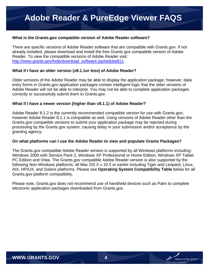#### **What is the Grants.gov compatible version of Adobe Reader software?**

There are specific versions of Adobe Reader software that are compatible with Grants.gov. If not already installed, please download and install the free Grants.gov compatible version of Adobe Reader. To view the compatible versions of Adobe Reader visit: [http://www.grants.gov/help/download\\_software.jsp#adobe811.](http://www.grants.gov/help/download_software.jsp#adobe811)

#### **What if I have an older version (v8.1.1or less) of Adobe Reader?**

Older versions of the Adobe Reader may be able to display the application package; however, data entry forms in Grants.gov application packages contain intelligent logic that the older versions of Adobe Reader will not be able to interpret. You may not be able to complete application packages correctly or successfully submit them to Grants.gov.

#### **What if I have a newer version (higher than v8.1.1) of Adobe Reader?**

Adobe Reader 8.1.2 is the currently recommended compatible version for use with Grants.gov; however Adobe Reader 8.1.1 is compatible as well. Using versions of Adobe Reader other than the Grants.gov compatible versions to submit your application package may be rejected during processing by the Grants.gov system, causing delay in your submission and/or acceptance by the granting agency.

#### **On what platforms can I use the Adobe Reader to view and populate Grants Packages?**

The Grants.gov compatible Adobe Reader version is supported by all Windows platforms including: Windows 2000 with Service Pack 2, Windows XP Professional or Home Edition, Windows XP Tablet PC Edition and Vista. The Grants.gov compatible Adobe Reader version is also supported by the following Non-Windows platforms: all Mac OS X v.10.5 or earlier including Tiger and Leopard, Linux, AIX, HP/UX, and Solaris platforms. Please see **Operating System Compatibility Table** below for all Grants.gov platform compatibility.

Please note, Grants.gov does not recommend use of handheld devices such as Palm to complete electronic application packages downloaded from Grants.gov.

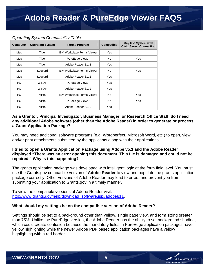#### *Operating System Compatibility Table*

| <b>Computer</b> | <b>Operating System</b> | <b>Forms Program</b>              | <b>Compatible</b> | <b>May Use System with</b><br><b>Citrix Server Connection</b> |
|-----------------|-------------------------|-----------------------------------|-------------------|---------------------------------------------------------------|
| Mac             | Tiger                   | <b>IBM Workplace Forms Viewer</b> | Yes               |                                                               |
| Mac             | Tiger                   | PureEdge Viewer                   | <b>No</b>         | Yes                                                           |
| Mac             | Tiger                   | Adobe Reader 8.1.2                | Yes               |                                                               |
| Mac             | Leopard                 | <b>IBM Workplace Forms Viewer</b> | <b>No</b>         | Yes                                                           |
| Mac             | Leopard                 | Adobe Reader 8.1.2                | Yes               |                                                               |
| PC.             | <b>WINXP</b>            | PureEdge Viewer                   | Yes               |                                                               |
| <b>PC</b>       | <b>WINXP</b>            | Adobe Reader 8.1.2                | Yes               |                                                               |
| PC.             | Vista                   | IBM Workplace Forms Viewer        | <b>No</b>         | Yes                                                           |
| PC              | Vista                   | PureEdge Viewer                   | <b>No</b>         | Yes                                                           |
| <b>PC</b>       | Vista                   | Adobe Reader 8.1.2                | Yes               |                                                               |

#### **As a Grantor, Principal Investigator, Business Manager, or Research Office Staff, do I need any additional Adobe software (other than the Adobe Reader) in order to generate or process a Grant Application Package?**

You may need additional software programs (e.g. Wordperfect, Microsoft Word, etc.) to open, view and/or print attachments submitted by the applicants along with their applications.

#### **I tried to open a Grants Application Package using Adobe v5.1 and the Adobe Reader displayed "There was an error opening this document. This file is damaged and could not be repaired." Why is this happening?**

The grants application package was developed with intelligent logic at the form field level. You must use the Grants.gov compatible version of **Adobe Reader** to view and populate the grants application package correctly. Other versions of Adobe Reader may lead to errors and prevent you from submitting your application to Grants.gov in a timely manner.

To view the compatible versions of Adobe Reader visit: [http://www.grants.gov/help/download\\_software.jsp#adobe811.](http://www.grants.gov/help/download_software.jsp#adobe811)

#### **What should my settings be on the compatible version of Adobe Reader?**

Settings should be set to a background other than yellow, single page view, and form sizing greater than 75%. Unlike the PureEdge version, the Adobe Reader has the ability to set background shading, which could create confusion because the mandatory fields in PureEdge application packages have yellow highlighting while the newer Adobe PDF based application packages have a yellow highlighting with a red border.

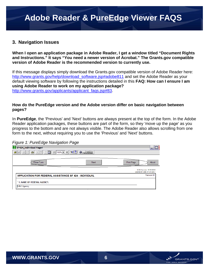### <span id="page-5-0"></span>**3. Navigation Issues**

**When I open an application package in Adobe Reader, I get a window titled "Document Rights and Instructions." It says "You need a newer version of Acrobat." The Grants.gov compatible version of Adobe Reader is the recommended version to currently use.** 

If this message displays simply download the Grants.gov compatible version of Adobe Reader here: [http://www.grants.gov/help/download\\_software.jsp#adobe811](http://www.grants.gov/help/download_software.jsp#adobe811) and set the Adobe Reader as your default viewing software by following the instructions detailed in this **FAQ: How can I ensure I am using Adobe Reader to work on my application package?**  [http://www.grants.gov/applicants/applicant\\_faqs.jsp#83](http://www.grants.gov/applicants/applicant_faqs.jsp#83).

#### **How do the PureEdge version and the Adobe version differ on basic navigation between pages?**

In **PureEdge**, the 'Previous' and 'Next' buttons are always present at the top of the form. In the Adobe Reader application packages, these buttons are part of the form, so they 'move up the page' as you progress to the bottom and are not always visible. The Adobe Reader also allows scrolling from one form to the next, without requiring you to use the 'Previous' and 'Next' buttons.

*Figure 1: PureEdge Navigation Page* 

| ້                      | . .                                       | ີ<br>້                                                                   |                     |                                                      |
|------------------------|-------------------------------------------|--------------------------------------------------------------------------|---------------------|------------------------------------------------------|
| SF424_Individual Page1 |                                           |                                                                          |                     |                                                      |
| 窗口<br>全国               | $A \mathbb{F} \times \mathbb{B}$<br>$-35$ | $\odot$ 100% $\mathbf{v}$ $\odot$ $\mathbf{v}$ $\mathbf{v}$ $\mathbf{v}$ | $\bigcirc$ rowth to |                                                      |
|                        | Close Form                                |                                                                          | <b>Next</b>         | Print Page<br>About                                  |
|                        |                                           |                                                                          |                     | OMB Number: 4040-0005<br>Expiration Date: 01/31/2007 |
|                        |                                           | <b>APPLICATION FOR FEDERAL ASSISTANCE SF 424 - INDIVIDUAL</b>            |                     | Version 01                                           |
| V&V Agency             | * 1. NAME OF FEDERAL AGENCY:              |                                                                          |                     |                                                      |

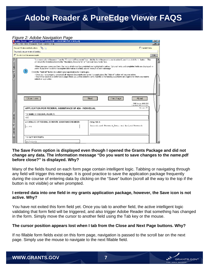#### <span id="page-6-0"></span>*Figure 2: Adobe Navigation Page*

|                    |            | Adobe Reader - [oppGGDEMO-PDF-4-clds10-001-cidGGDEMO-PDF-4-5KILpdf]                                                                                                                                                                                                                                                                                                                                                                                                                                                                                                                                                                                                                                                                                                                                                                                                                                                           |                                                    | $-6x$        |
|--------------------|------------|-------------------------------------------------------------------------------------------------------------------------------------------------------------------------------------------------------------------------------------------------------------------------------------------------------------------------------------------------------------------------------------------------------------------------------------------------------------------------------------------------------------------------------------------------------------------------------------------------------------------------------------------------------------------------------------------------------------------------------------------------------------------------------------------------------------------------------------------------------------------------------------------------------------------------------|----------------------------------------------------|--------------|
|                    |            | The Fig. Edit Move Document Tools window Holn-                                                                                                                                                                                                                                                                                                                                                                                                                                                                                                                                                                                                                                                                                                                                                                                                                                                                                |                                                    | $-10 \times$ |
|                    |            | $\mathbb{Z}$<br>Document Rights and Instructions.                                                                                                                                                                                                                                                                                                                                                                                                                                                                                                                                                                                                                                                                                                                                                                                                                                                                             | <b>El lightatt tielss</b>                          |              |
|                    |            | Poul need a newer version of Aerobac.                                                                                                                                                                                                                                                                                                                                                                                                                                                                                                                                                                                                                                                                                                                                                                                                                                                                                         |                                                    |              |
|                    |            | □ Do not show this message agein                                                                                                                                                                                                                                                                                                                                                                                                                                                                                                                                                                                                                                                                                                                                                                                                                                                                                              |                                                    | Lide.        |
| 5groups<br>Pages V | $\sqrt{3}$ | To remove a form/document from the "Corroleted Documents" box, click the form/document name to select if, and then click the < butter . This<br>will return the form/document to the "Mandalory Documents" or "Optional Documents" box.<br>-When you open a required form, the helds which must be completed are highlighted in yellow. Optional helds and completed helds are displayed in<br>white. If you enter invalid or incomplete information in a field, you will receive an error message.<br>Click the "Submit" button to submit your application to Grants.gov.<br>- Once you have properly completed all required documents and saved the application, the "Submit" button will become active.<br>- You will be taken to a confirmation page where you will be asked to verify that this is the funding coportunity and Agency to which you want to<br>submit an application.<br>Print Page<br>Close Lorm<br>Next | About                                              |              |
|                    |            |                                                                                                                                                                                                                                                                                                                                                                                                                                                                                                                                                                                                                                                                                                                                                                                                                                                                                                                               | DMB Number, 4040-0005<br>Lapration Date: DM 107007 |              |
|                    |            | APPLICATION FOR FEDERAL ASSISTANCE SF 424 - INDIVIDUAL                                                                                                                                                                                                                                                                                                                                                                                                                                                                                                                                                                                                                                                                                                                                                                                                                                                                        | Version 01                                         |              |
| <b>Accounting</b>  | GGT.       | * 1. NAME OF FEDERAL AGENCY:                                                                                                                                                                                                                                                                                                                                                                                                                                                                                                                                                                                                                                                                                                                                                                                                                                                                                                  |                                                    |              |
|                    |            | 2. CATALOG OF FEDERAL DOMESTIC ASSISTANCE NUMBER:<br>CEDA TITLE:                                                                                                                                                                                                                                                                                                                                                                                                                                                                                                                                                                                                                                                                                                                                                                                                                                                              |                                                    |              |
| ۳<br>Commands      |            | Aqricultural Research Basic and Apolied Research<br>10.001                                                                                                                                                                                                                                                                                                                                                                                                                                                                                                                                                                                                                                                                                                                                                                                                                                                                    |                                                    |              |
|                    |            | ^3. DATE RECEIVED:                                                                                                                                                                                                                                                                                                                                                                                                                                                                                                                                                                                                                                                                                                                                                                                                                                                                                                            |                                                    |              |
|                    |            | 2007-01-01                                                                                                                                                                                                                                                                                                                                                                                                                                                                                                                                                                                                                                                                                                                                                                                                                                                                                                                    |                                                    |              |

#### **The Save Form option is displayed even though I opened the Grants Package and did not change any data. The information message "Do you want to save changes to the** *name***.pdf before close?" is displayed. Why?**

Many of the fields found on each form page contain intelligent logic. Tabbing or navigating through any field will trigger this message. It is good practice to save the application package frequently during the course of entering data by clicking on the "Save" button (scroll all the way to the top if the button is not visible) or when prompted.

#### **I entered data into one field in my grants application package, however, the Save icon is not active. Why?**

You have not exited this form field yet. Once you tab to another field, the active intelligent logic validating that form field will be triggered, and also trigger Adobe Reader that something has changed in the form. Simply move the cursor to another field using the Tab key or the mouse.

#### **The cursor position appears lost when I tab from the Close and Next Page buttons. Why?**

If no fillable form fields exist on this form page, navigation is passed to the scroll bar on the next page. Simply use the mouse to navigate to the next fillable field.



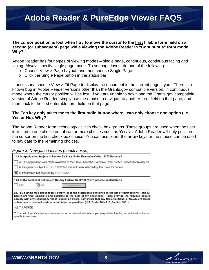#### <span id="page-7-0"></span>**The cursor position is lost when I try to move the cursor to the first fillable form field on a second (or subsequent) page while viewing the Adobe Reader in "Continuous" form mode. Why?**

Adobe Reader has four types of viewing modes – single page, continuous, continuous facing and facing. Always specify single page mode. To set page layout do one of the following:

- o Choose View > Page Layout, and then choose Single Page.
- o Click the Single Page button in the status bar.

If necessary, choose View > Fit Page to display the document in the current page layout. There is a known bug in Adobe Reader versions other than the Grants.gov compatible version; in continuous mode where the cursor position will be lost. If you are unable to download the Grants.gov compatible version of Adobe Reader, simply use the mouse to navigate to another form field on that page, and then back to the first enterable form field on that page.

#### **The Tab key only takes me to the first radio button where I can only choose one option (i.e., Yes or No). Why?**

The Adobe Reader form technology utilizes check box groups. These groups are used when the user is limited to one choice out of two or more choices such as Yes/No. Adobe Reader will only position the cursor on the first check box choice. You can use either the arrow keys or the mouse can be used to navigate to the remaining choices.

#### *Figure 3: Navigation Issues (check boxes)*

| * 19. Is Application Subject to Review By State Under Executive Order 12372 Process?<br>a. This application was made available to the State under the Executive Order 12372 Process for review on                                                                                                                                                                                                                                                      |
|--------------------------------------------------------------------------------------------------------------------------------------------------------------------------------------------------------------------------------------------------------------------------------------------------------------------------------------------------------------------------------------------------------------------------------------------------------|
| b. Program is subject to E.O. 12372 but has not been selected by the State for review.<br>$ \mathsf{X} $ c. Program is not covered by E.O. 12372.                                                                                                                                                                                                                                                                                                      |
| * 20. Is the Applicant Delinguent On Any Federal Debt? (If "Yes", provide explanation.)<br>Yes<br>$\times$ No<br>Explanation                                                                                                                                                                                                                                                                                                                           |
| 21. "By signing this application, I certify (1) to the statements contained in the list of certifications" and (2)<br>herein are true, complete and accurate to the best of my knowledge. I also provide the required assurar<br>comply with any resulting terms if I accept an award. I am aware that any false, fictitious, or fraudulent staten<br>subject me to criminal, civil, or administrative penalties. (U.S. Code, Title 218, Section 1001) |
| X ** I AGREE                                                                                                                                                                                                                                                                                                                                                                                                                                           |
| ** The list of certifications and assurances, or an internet site where you may obtain this list, is contained in the ann<br>specific instructions.                                                                                                                                                                                                                                                                                                    |

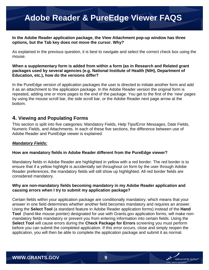#### <span id="page-8-0"></span>**In the Adobe Reader application package, the View Attachment pop-up window has three options, but the Tab key does not move the cursor. Why?**

As explained in the previous question, it is best to navigate and select the correct check box using the mouse.

#### **When a supplementary form is added from within a form (as in Research and Related grant packages used by several agencies (e.g. National Institute of Health (NIH), Department of Education, etc.), how do the versions differ?**

In the PureEdge version of application packages the user is directed to initiate another form and add it as an attachment to the application package. In the Adobe Reader version the original form is repeated, adding one or more pages to the end of the package. You get to the first of the 'new' pages by using the mouse scroll bar, the side scroll bar, or the Adobe Reader next page arrow at the bottom.

### **4. Viewing and Populating Forms**

This section is split into five categories: Mandatory Fields, Help Tips/Error Messages, Date Fields, Numeric Fields, and Attachments. In each of these five sections, the difference between use of Adobe Reader and PureEdge viewer is explained.

#### *Mandatory Fields:*

#### **How are mandatory fields in Adobe Reader different from the PureEdge viewer?**

Mandatory fields in Adobe Reader are highlighted in yellow with a red border. The red border is to ensure that if a yellow highlight is accidentally set throughout on form by the user through Adobe Reader preferences, the mandatory fields will still show up highlighted. All red border fields are considered mandatory.

#### **Why are non-mandatory fields becoming mandatory in my Adobe Reader application and causing errors when I try to submit my application package?**

Certain fields within your application package are conditionally mandatory; which means that your answer in one field determines whether another field becomes mandatory and requires an answer. Using the **Select Tool** (a standard feature in Adobe Reader application forms) instead of the **Hand Tool** (hand-like mouse pointer) designated for use with Grants.gov application forms, will make nonmandatory fields mandatory or prevent you from entering information into certain fields. Using the **Select Tool** will cause errors during the **Check Package for Errors** screening you must perform before you can submit the completed application. If this error occurs, close and simply reopen the application, you will then be able to complete the application package and submit it as normal.

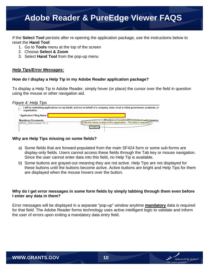<span id="page-9-0"></span>If the **Select Tool** persists after re-opening the application package, use the instructions below to reset the **Hand Tool**:

- 1. Go to **Tools** menu at the top of the screen
- 2. Choose **Select & Zoom**
- 3. Select **Hand Tool** from the pop-up menu

#### *Help Tips/Error Messages:*

#### **How do I display a Help Tip in my Adobe Reader application package?**

To display a Help Tip in Adobe Reader, simply hover (or place) the cursor over the field in question using the mouse or other navigation aid.

#### *Figure 4: Help Tips*

| organization.                                       | l will be submitting applications on my behalf, and not on behalf of a company, state, local or tribal government, academia, or |
|-----------------------------------------------------|---------------------------------------------------------------------------------------------------------------------------------|
| * Application Filing Name: <mark> </mark>           |                                                                                                                                 |
| <b>Mandatory Documents</b><br>SF424 Individual-V1.0 | Mondatory Completed Decuments for Submission<br>Enter the name or alias of this application. This field is required.            |

#### **Why are Help Tips missing on some fields?**

- a) Some fields that are forward-populated from the main SF424 form or some sub-forms are display-only fields. Users cannot access these fields through the Tab key or mouse navigation. Since the user cannot enter data into this field, no Help Tip is available.
- b) Some buttons are grayed-out meaning they are not active. Help Tips are not displayed for these buttons until the buttons become active. Active buttons are bright and Help Tips for them are displayed when the mouse hovers over the button.

#### **Why do I get error messages in some form fields by simply tabbing through them even before I enter any data in them?**

Error messages will be displayed in a separate "pop-up" window anytime **mandatory** data is required for that field. The Adobe Reader forms technology uses active intelligent logic to validate and inform the user of errors upon exiting a mandatory data entry field.

ANTS GO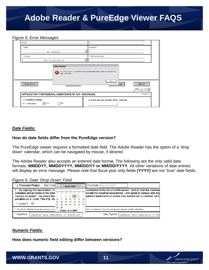#### <span id="page-10-0"></span>*Figure 5: Error Messages*

| test<br><sup>*</sup> State.<br>VA: Virginia<br><sup>4</sup> Country: | Province.<br>* Zip/Postal Code:                                                                                                                                                                                              |
|----------------------------------------------------------------------|------------------------------------------------------------------------------------------------------------------------------------------------------------------------------------------------------------------------------|
| USA: UNITED STATES                                                   |                                                                                                                                                                                                                              |
| <b>Adobe Reader</b><br>X<br>Close Form<br><b>STATE</b>               | $\mathbb{Z}[\mathfrak{p}]/\operatorname{Posh}$ Code is required if Country is the United States: Enter the Postal Code (e.g., ZIP code).<br><br>OK.<br>About<br>lige<br>OMB Number, 4040-0005<br>Expiration Date: 01/31/2007 |
| APPLICATION FOR FEDERAL ASSISTANCE SF 424 - INDIVIDUAL               | Version 01                                                                                                                                                                                                                   |
| ' c. Citizenship Status:<br>X Yes<br>- No<br>U.S. Citizenship        | d. Social Security Number (SSN) - Optional:                                                                                                                                                                                  |

#### *Date Fields:*

#### **How do date fields differ from the PureEdge version?**

The PureEdge viewer requires a formatted date field. The Adobe Reader has the option of a 'drop down' calendar, which can be navigated by mouse, if desired.

The Adobe Reader also accepts an entered date format. The following are the only valid date formats: **MMDDYY, MMDDYYYY, MM/DD/YY or MM/DD/YYYY**. All other variations of date entries will display an error message. Please note that fiscal year only fields *(YYYY)* are not "true" date fields.

#### *Figure 6: Date 'Drop Down' Field*

| * c. Proposed Project:<br>Start Date                              |     |             |       | <b>April, 2007</b> |                      |     |      | End Date: $C4/18/2007$                                                           |
|-------------------------------------------------------------------|-----|-------------|-------|--------------------|----------------------|-----|------|----------------------------------------------------------------------------------|
| 7. ^ By signing this application, I c Sun Mon Tue Wed Thu Fri Sat |     |             |       |                    |                      |     |      | contained in the list of certifications <sup>**</sup> and (2) that the statement |
| <b>complete and accurate to the best</b> 25, 26, 27, 28, 29, 30   |     |             |       |                    |                      |     |      | irovide the regulred assurances** and agree to comply with any                   |
| l accept an award. $\frac{1}{2}$ am aware that $\frac{1}{2}$      |     |             | $3 -$ |                    | 456                  |     |      | udulent statements or claims may subject me to criminal, civil.                  |
| penalties (U.S. Code, Title 218, Ser 8                            |     |             |       |                    | 9 10 11 12 13 14     |     |      |                                                                                  |
|                                                                   |     | 15 16 17 18 |       |                    | 10                   | -26 | - 21 |                                                                                  |
| ** I AGREE   X                                                    |     |             |       |                    | 22 23 24 25 26 27 28 |     |      |                                                                                  |
|                                                                   | 29. | -30         |       |                    |                      |     |      |                                                                                  |
| ** The list of certifications and assurances, or an               |     |             |       |                    | Today: 4/5/2007      |     |      | s list, is contained in the announcement or agency specific instructions.        |
| * Signature:<br>Completed Upon Submission to Grants.gov           |     |             |       |                    |                      |     |      | * Date Signed: I<br>Completed Upon Submission to Gra                             |

#### *Numeric Fields:*

**How does numeric field editing differ between versions?** 

**GRANTS.GOV**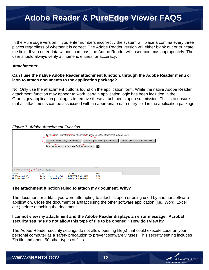<span id="page-11-0"></span>In the PureEdge version, if you enter numbers incorrectly the system will place a comma every three places regardless of whether it is correct. The Adobe Reader version will either blank out or truncate the field. If you enter data without commas, the Adobe Reader will insert commas appropriately. The user should always verify all numeric entries for accuracy.

#### *Attachments:*

#### **Can I use the native Adobe Reader attachment function, through the Adobe Reader menu or icon to attach documents to the application package?**

No. Only use the attachment buttons found on the application form. While the native Adobe Reader attachment function may appear to work, certain application logic has been included in the Grants.gov application packages to remove these attachments upon submission. This is to ensure that all attachments can be associated with an appropriate data entry field in the application package.

#### *Figure 7: Adobe Attachment Function*



#### **The attachment function failed to attach my document. Why?**

The document or artifact you were attempting to attach is open or being used by another software application. Close the document or artifact using the other software application (i.e., Word, Excel, etc.) before attaching the document.

#### **I cannot view my attachment and the Adobe Reader displays an error message "Acrobat security settings do not allow this type of file to be opened." How do I view it?**

The Adobe Reader security settings do not allow opening file(s) that could execute code on your personal computer as a safety precaution to prevent software viruses. This security setting includes Zip file and about 50 other types of files.

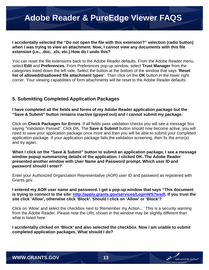<span id="page-12-0"></span>**I accidentally selected the "Do not open the file with this extension?" selection (radio button) when I was trying to view an attachment. Now, I cannot view any documents with this file extension (i.e., .doc, .xls, etc.) How do I undo this?** 

You can reset the file extensions back to the Adobe Reader defaults. From the Adobe Reader menu, select **Edit** and **Preferences**. From Preferences pop-up window, select **Trust Manager** from the categories listed down the left side. Select the button at the bottom of the window that says "**Reset list of allowed/disallowed file attachment types**". Then click on the **OK** button in the lower right corner. Your viewing capabilities of form attachments will be reset to the Adobe Reader defaults.

### **5. Submitting Completed Application Packages**

**I have completed all the fields and forms of my Adobe Reader application package but the "Save & Submit" button remains inactive (grayed out) and I cannot submit my package.** 

Click on **Check Packages for Errors**. If all fields pass validation checks you will see a message box saying "Validation Passed". Click OK. The **Save & Submit** button should now become active, you will need to save your application package once more and then you will be able to submit your completed application package. If your application package fails the validation screening, then fix the error(s) and try again.

**When I click on the "Save & Submit" button to submit an application package, I see a message window popup summarizing details of the application. I clicked OK. The Adobe Reader presented another window with User Name and Password prompt. Which user ID and password should I enter?** 

Enter your Authorized Organization Representative (AOR) user ID and password as registered with Grants.gov.

**I entered my AOR user name and password. I get a pop-up window that says "This document is trying to connect to the site:<http://apply.grants.gov/services/LoginWS?wsdl>. If you trust the site click 'Allow', otherwise click 'Block'. Should I click on 'Allow' or 'Block'?** 

Click on 'Allow' and select the checkbox next to 'Remember my Action…' This is a security warning from the Adobe Reader. Please note the URL shown in the window may be slightly different than what is listed here.

**I accidentally clicked on 'Block' and also selected the checkbox. Now I am unable to submit completed application packages. What should I do?**